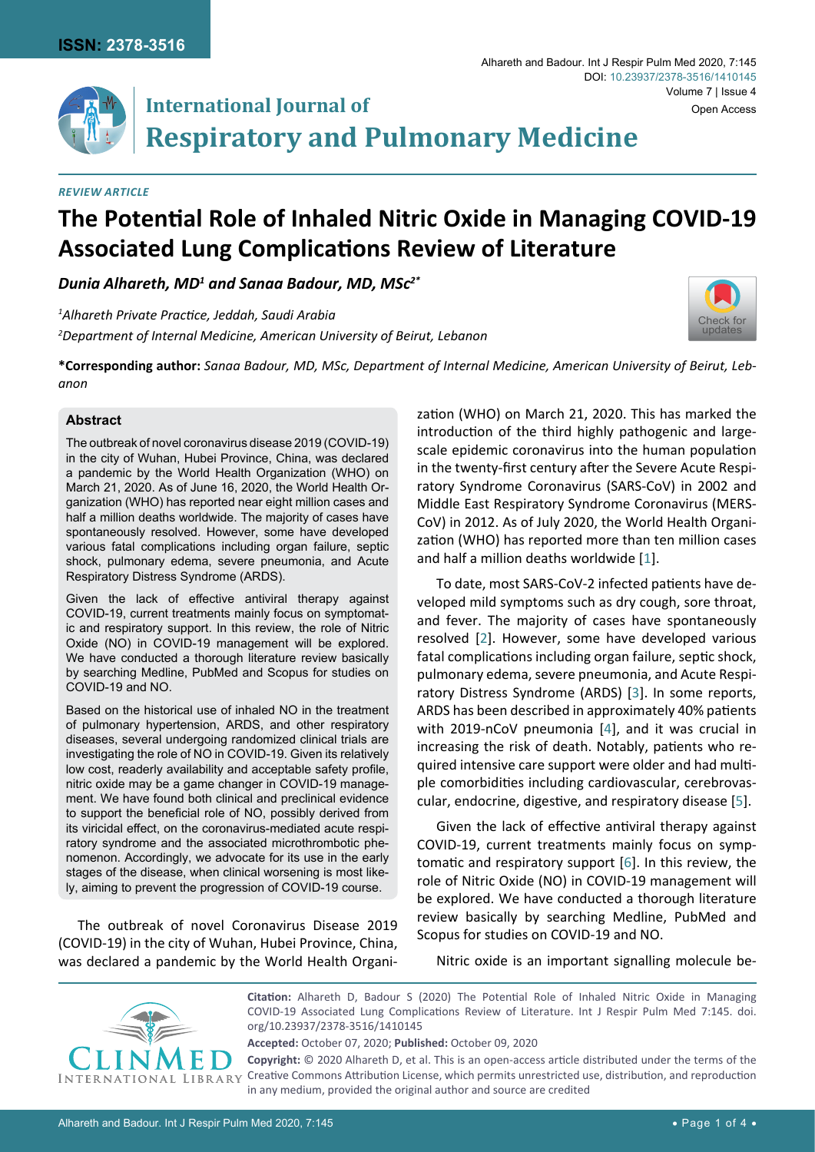[Check for](http://crossmark.crossref.org/dialog/?doi=10.23937/2378-3516/1410145&domain=pdf) updates

# **International Journal of Respiratory and Pulmonary Medicine**

#### *Review Article*

# **The Potential Role of Inhaled Nitric Oxide in Managing COVID-19 Associated Lung Complications Review of Literature**

*Dunia Alhareth, MD1 and Sanaa Badour, MD, MSc2\**

*1 Alhareth Private Practice, Jeddah, Saudi Arabia 2 Department of Internal Medicine, American University of Beirut, Lebanon*

**\*Corresponding author:** *Sanaa Badour, MD, MSc, Department of Internal Medicine, American University of Beirut, Lebanon*

#### **Abstract**

The outbreak of novel coronavirus disease 2019 (COVID-19) in the city of Wuhan, Hubei Province, China, was declared a pandemic by the World Health Organization (WHO) on March 21, 2020. As of June 16, 2020, the World Health Organization (WHO) has reported near eight million cases and half a million deaths worldwide. The majority of cases have spontaneously resolved. However, some have developed various fatal complications including organ failure, septic shock, pulmonary edema, severe pneumonia, and Acute Respiratory Distress Syndrome (ARDS).

Given the lack of effective antiviral therapy against COVID-19, current treatments mainly focus on symptomatic and respiratory support. In this review, the role of Nitric Oxide (NO) in COVID-19 management will be explored. We have conducted a thorough literature review basically by searching Medline, PubMed and Scopus for studies on COVID-19 and NO.

Based on the historical use of inhaled NO in the treatment of pulmonary hypertension, ARDS, and other respiratory diseases, several undergoing randomized clinical trials are investigating the role of NO in COVID-19. Given its relatively low cost, readerly availability and acceptable safety profile, nitric oxide may be a game changer in COVID-19 management. We have found both clinical and preclinical evidence to support the beneficial role of NO, possibly derived from its viricidal effect, on the coronavirus-mediated acute respiratory syndrome and the associated microthrombotic phenomenon. Accordingly, we advocate for its use in the early stages of the disease, when clinical worsening is most likely, aiming to prevent the progression of COVID-19 course.

The outbreak of novel Coronavirus Disease 2019 (COVID-19) in the city of Wuhan, Hubei Province, China, was declared a pandemic by the World Health Organization (WHO) on March 21, 2020. This has marked the introduction of the third highly pathogenic and largescale epidemic coronavirus into the human population in the twenty-first century after the Severe Acute Respiratory Syndrome Coronavirus (SARS-CoV) in 2002 and Middle East Respiratory Syndrome Coronavirus (MERS-CoV) in 2012. As of July 2020, the World Health Organization (WHO) has reported more than ten million cases and half a million deaths worldwide [\[1\]](#page-2-0).

To date, most SARS-CoV-2 infected patients have developed mild symptoms such as dry cough, sore throat, and fever. The majority of cases have spontaneously resolved [[2](#page-2-1)]. However, some have developed various fatal complications including organ failure, septic shock, pulmonary edema, severe pneumonia, and Acute Respiratory Distress Syndrome (ARDS) [[3](#page-2-2)]. In some reports, ARDS has been described in approximately 40% patients with 2019-nCoV pneumonia [\[4\]](#page-2-3), and it was crucial in increasing the risk of death. Notably, patients who required intensive care support were older and had multiple comorbidities including cardiovascular, cerebrovascular, endocrine, digestive, and respiratory disease [[5](#page-2-4)].

Given the lack of effective antiviral therapy against COVID-19, current treatments mainly focus on symptomatic and respiratory support [[6\]](#page-2-5). In this review, the role of Nitric Oxide (NO) in COVID-19 management will be explored. We have conducted a thorough literature review basically by searching Medline, PubMed and Scopus for studies on COVID-19 and NO.

Nitric oxide is an important signalling molecule be-



**Citation:** Alhareth D, Badour S (2020) The Potential Role of Inhaled Nitric Oxide in Managing COVID-19 Associated Lung Complications Review of Literature. Int J Respir Pulm Med 7:145. [doi.](https://doi.org/10.23937/2378-3516/1410145) [org/10.23937/2378-3516/1410145](https://doi.org/10.23937/2378-3516/1410145)

**Accepted:** October 07, 2020; **Published:** October 09, 2020

**Copyright:** © 2020 Alhareth D, et al. This is an open-access article distributed under the terms of the Creative Commons Attribution License, which permits unrestricted use, distribution, and reproduction in any medium, provided the original author and source are credited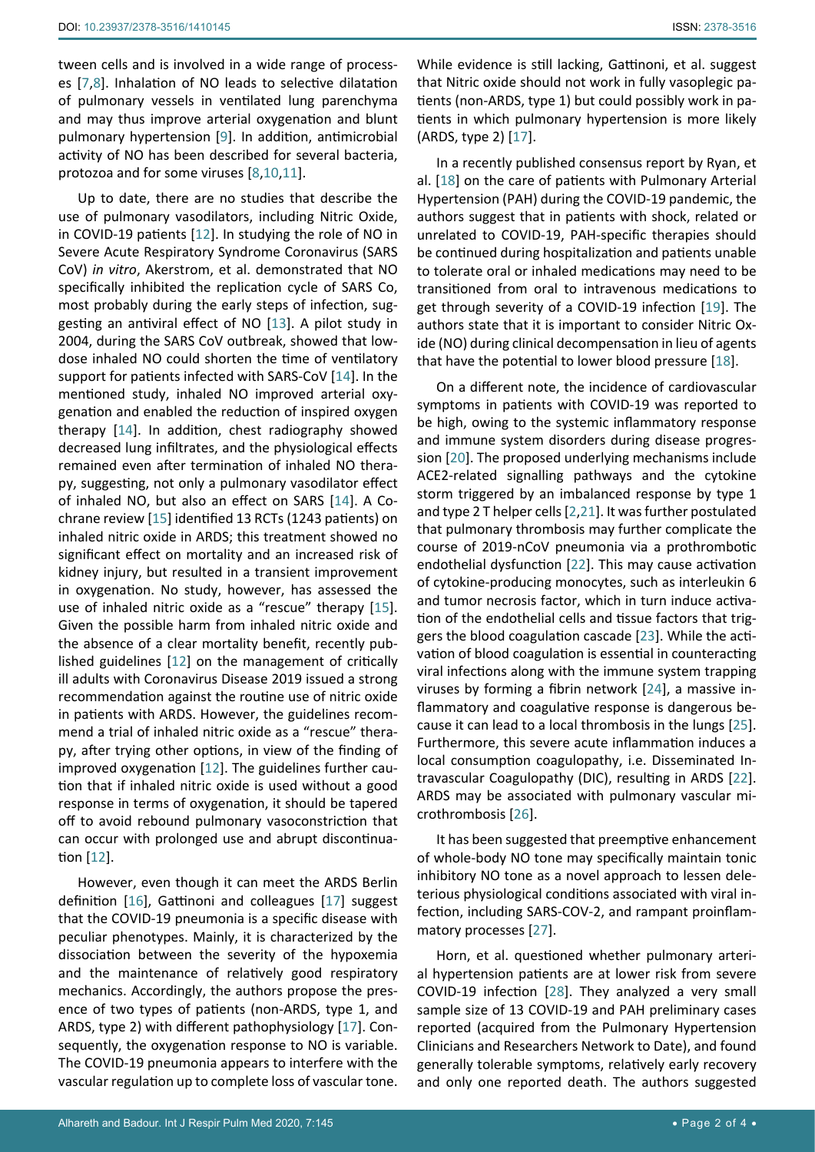tween cells and is involved in a wide range of processes [[7](#page-2-6),[8\]](#page-2-7). Inhalation of NO leads to selective dilatation of pulmonary vessels in ventilated lung parenchyma and may thus improve arterial oxygenation and blunt pulmonary hypertension [[9](#page-2-8)]. In addition, antimicrobial activity of NO has been described for several bacteria, protozoa and for some viruses [\[8](#page-2-7),[10](#page-2-9),[11](#page-2-10)].

Up to date, there are no studies that describe the use of pulmonary vasodilators, including Nitric Oxide, in COVID-19 patients [[12\]](#page-2-11). In studying the role of NO in Severe Acute Respiratory Syndrome Coronavirus (SARS CoV) *in vitro*, Akerstrom, et al. demonstrated that NO specifically inhibited the replication cycle of SARS Co, most probably during the early steps of infection, suggesting an antiviral effect of NO [\[13](#page-2-12)]. A pilot study in 2004, during the SARS CoV outbreak, showed that lowdose inhaled NO could shorten the time of ventilatory support for patients infected with SARS-CoV [\[14](#page-3-12)]. In the mentioned study, inhaled NO improved arterial oxygenation and enabled the reduction of inspired oxygen therapy [\[14](#page-3-12)]. In addition, chest radiography showed decreased lung infiltrates, and the physiological effects remained even after termination of inhaled NO therapy, suggesting, not only a pulmonary vasodilator effect of inhaled NO, but also an effect on SARS [\[14](#page-3-12)]. A Cochrane review [\[15](#page-3-13)] identified 13 RCTs (1243 patients) on inhaled nitric oxide in ARDS; this treatment showed no significant effect on mortality and an increased risk of kidney injury, but resulted in a transient improvement in oxygenation. No study, however, has assessed the use of inhaled nitric oxide as a "rescue" therapy [\[15\]](#page-3-13). Given the possible harm from inhaled nitric oxide and the absence of a clear mortality benefit, recently published guidelines [\[12](#page-2-11)] on the management of critically ill adults with Coronavirus Disease 2019 issued a strong recommendation against the routine use of nitric oxide in patients with ARDS. However, the guidelines recommend a trial of inhaled nitric oxide as a "rescue" therapy, after trying other options, in view of the finding of improved oxygenation [\[12\]](#page-2-11). The guidelines further caution that if inhaled nitric oxide is used without a good response in terms of oxygenation, it should be tapered off to avoid rebound pulmonary vasoconstriction that can occur with prolonged use and abrupt discontinuation [\[12](#page-2-11)].

However, even though it can meet the ARDS Berlin definition [[16\]](#page-3-14), Gattinoni and colleagues [[17\]](#page-3-0) suggest that the COVID-19 pneumonia is a specific disease with peculiar phenotypes. Mainly, it is characterized by the dissociation between the severity of the hypoxemia and the maintenance of relatively good respiratory mechanics. Accordingly, the authors propose the presence of two types of patients (non-ARDS, type 1, and ARDS, type 2) with different pathophysiology [[17](#page-3-0)]. Consequently, the oxygenation response to NO is variable. The COVID-19 pneumonia appears to interfere with the vascular regulation up to complete loss of vascular tone. While evidence is still lacking, Gattinoni, et al. suggest that Nitric oxide should not work in fully vasoplegic patients (non-ARDS, type 1) but could possibly work in patients in which pulmonary hypertension is more likely (ARDS, type 2) [[17\]](#page-3-0).

In a recently published consensus report by Ryan, et al. [[18\]](#page-3-1) on the care of patients with Pulmonary Arterial Hypertension (PAH) during the COVID-19 pandemic, the authors suggest that in patients with shock, related or unrelated to COVID-19, PAH-specific therapies should be continued during hospitalization and patients unable to tolerate oral or inhaled medications may need to be transitioned from oral to intravenous medications to get through severity of a COVID-19 infection [\[19](#page-3-2)]. The authors state that it is important to consider Nitric Oxide (NO) during clinical decompensation in lieu of agents that have the potential to lower blood pressure [[18\]](#page-3-1).

On a different note, the incidence of cardiovascular symptoms in patients with COVID-19 was reported to be high, owing to the systemic inflammatory response and immune system disorders during disease progression [[20](#page-3-3)]. The proposed underlying mechanisms include ACE2-related signalling pathways and the cytokine storm triggered by an imbalanced response by type 1 and type 2 T helper cells [[2](#page-2-1),[21](#page-3-4)]. It was further postulated that pulmonary thrombosis may further complicate the course of 2019‐nCoV pneumonia via a prothrombotic endothelial dysfunction [[22](#page-3-5)]. This may cause activation of cytokine‐producing monocytes, such as interleukin 6 and tumor necrosis factor, which in turn induce activation of the endothelial cells and tissue factors that triggers the blood coagulation cascade [[23\]](#page-3-6). While the activation of blood coagulation is essential in counteracting viral infections along with the immune system trapping viruses by forming a fibrin network [[24\]](#page-3-7), a massive inflammatory and coagulative response is dangerous because it can lead to a local thrombosis in the lungs [\[25\]](#page-3-8). Furthermore, this severe acute inflammation induces a local consumption coagulopathy, i.e. Disseminated Intravascular Coagulopathy (DIC), resulting in ARDS [[22](#page-3-5)]. ARDS may be associated with pulmonary vascular microthrombosis [\[26\]](#page-3-9).

It has been suggested that preemptive enhancement of whole-body NO tone may specifically maintain tonic inhibitory NO tone as a novel approach to lessen deleterious physiological conditions associated with viral infection, including SARS-COV-2, and rampant proinflammatory processes [\[27](#page-3-10)].

Horn, et al. questioned whether pulmonary arterial hypertension patients are at lower risk from severe COVID-19 infection [\[28](#page-3-11)]. They analyzed a very small sample size of 13 COVID-19 and PAH preliminary cases reported (acquired from the Pulmonary Hypertension Clinicians and Researchers Network to Date), and found generally tolerable symptoms, relatively early recovery and only one reported death. The authors suggested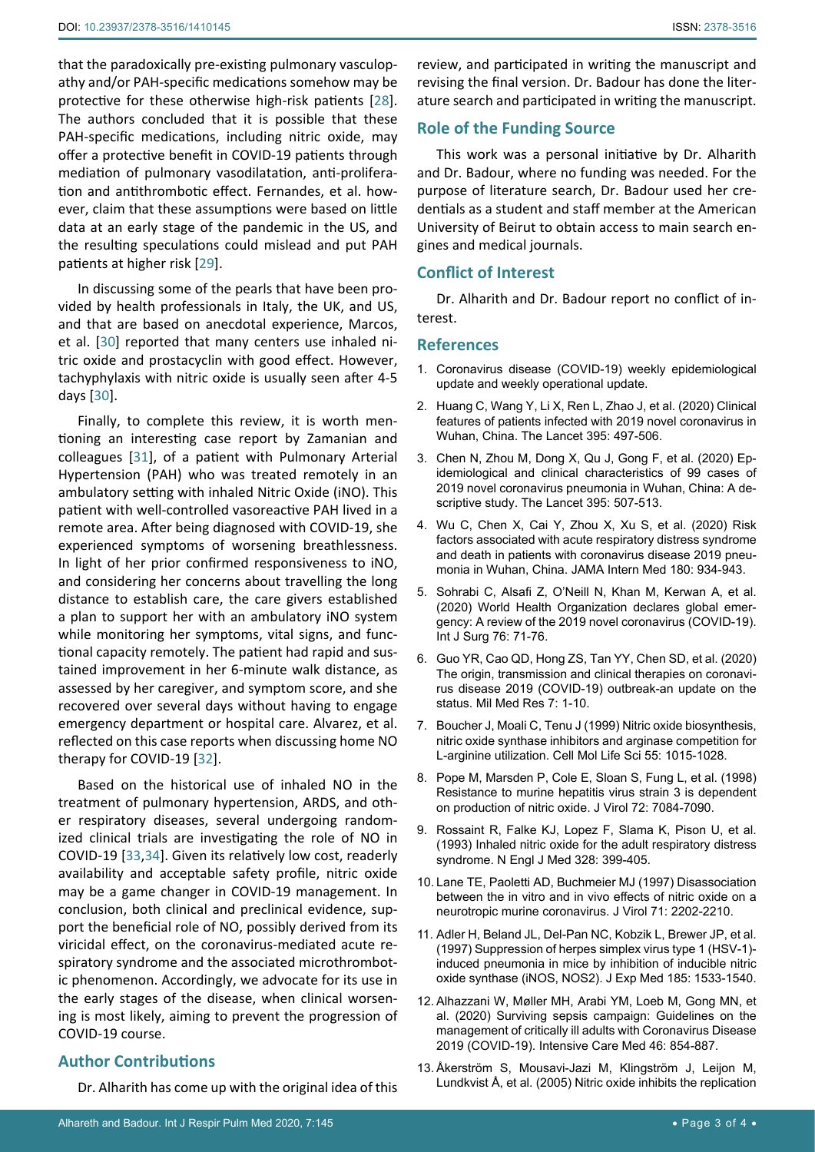that the paradoxically pre-existing pulmonary vasculopathy and/or PAH-specific medications somehow may be protective for these otherwise high-risk patients [\[28](#page-3-11)]. The authors concluded that it is possible that these PAH-specific medications, including nitric oxide, may offer a protective benefit in COVID-19 patients through mediation of pulmonary vasodilatation, anti-proliferation and antithrombotic effect. Fernandes, et al. however, claim that these assumptions were based on little data at an early stage of the pandemic in the US, and the resulting speculations could mislead and put PAH patients at higher risk [\[29\]](#page-3-15).

In discussing some of the pearls that have been provided by health professionals in Italy, the UK, and US, and that are based on anecdotal experience, Marcos, et al. [\[30](#page-3-16)] reported that many centers use inhaled nitric oxide and prostacyclin with good effect. However, tachyphylaxis with nitric oxide is usually seen after 4-5 days [[30\]](#page-3-16).

Finally, to complete this review, it is worth mentioning an interesting case report by Zamanian and colleagues [\[31\]](#page-3-17), of a patient with Pulmonary Arterial Hypertension (PAH) who was treated remotely in an ambulatory setting with inhaled Nitric Oxide (iNO). This patient with well-controlled vasoreactive PAH lived in a remote area. After being diagnosed with COVID-19, she experienced symptoms of worsening breathlessness. In light of her prior confirmed responsiveness to iNO, and considering her concerns about travelling the long distance to establish care, the care givers established a plan to support her with an ambulatory iNO system while monitoring her symptoms, vital signs, and functional capacity remotely. The patient had rapid and sustained improvement in her 6-minute walk distance, as assessed by her caregiver, and symptom score, and she recovered over several days without having to engage emergency department or hospital care. Alvarez, et al. reflected on this case reports when discussing home NO therapy for COVID-19 [[32\]](#page-3-18).

Based on the historical use of inhaled NO in the treatment of pulmonary hypertension, ARDS, and other respiratory diseases, several undergoing randomized clinical trials are investigating the role of NO in COVID-19 [[33](#page-3-19),[34\]](#page-3-20). Given its relatively low cost, readerly availability and acceptable safety profile, nitric oxide may be a game changer in COVID-19 management. In conclusion, both clinical and preclinical evidence, support the beneficial role of NO, possibly derived from its viricidal effect, on the coronavirus-mediated acute respiratory syndrome and the associated microthrombotic phenomenon. Accordingly, we advocate for its use in the early stages of the disease, when clinical worsening is most likely, aiming to prevent the progression of COVID-19 course.

### **Author Contributions**

Dr. Alharith has come up with the original idea of this

review, and participated in writing the manuscript and revising the final version. Dr. Badour has done the literature search and participated in writing the manuscript.

## **Role of the Funding Source**

This work was a personal initiative by Dr. Alharith and Dr. Badour, where no funding was needed. For the purpose of literature search, Dr. Badour used her credentials as a student and staff member at the American University of Beirut to obtain access to main search engines and medical journals.

### **Conflict of Interest**

Dr. Alharith and Dr. Badour report no conflict of interest.

#### **References**

- <span id="page-2-0"></span>1. [Coronavirus disease \(COVID-19\) weekly epidemiological](https://www.who.int/emergencies/diseases/novel-coronavirus-2019/situation-reports)  [update and weekly operational update.](https://www.who.int/emergencies/diseases/novel-coronavirus-2019/situation-reports)
- <span id="page-2-1"></span>2. [Huang C, Wang Y, Li X, Ren L, Zhao J, et al. \(2020\) Clinical](https://www.thelancet.com/journals/lancet/article/PIIS0140-6736(20)30183-5/fulltext)  [features of patients infected with 2019 novel coronavirus in](https://www.thelancet.com/journals/lancet/article/PIIS0140-6736(20)30183-5/fulltext)  [Wuhan, China. The Lancet 395: 497-506.](https://www.thelancet.com/journals/lancet/article/PIIS0140-6736(20)30183-5/fulltext)
- <span id="page-2-2"></span>3. [Chen N, Zhou M, Dong X, Qu J, Gong F, et al. \(2020\) Ep](https://www.thelancet.com/journals/lancet/article/PIIS0140-6736(20)30211-7/fulltext)[idemiological and clinical characteristics of 99 cases of](https://www.thelancet.com/journals/lancet/article/PIIS0140-6736(20)30211-7/fulltext)  [2019 novel coronavirus pneumonia in Wuhan, China: A de](https://www.thelancet.com/journals/lancet/article/PIIS0140-6736(20)30211-7/fulltext)[scriptive study. The Lancet 395: 507-513.](https://www.thelancet.com/journals/lancet/article/PIIS0140-6736(20)30211-7/fulltext)
- <span id="page-2-3"></span>4. [Wu C, Chen X, Cai Y, Zhou X, Xu S, et al. \(2020\) Risk](https://pubmed.ncbi.nlm.nih.gov/32167524/)  [factors associated with acute respiratory distress syndrome](https://pubmed.ncbi.nlm.nih.gov/32167524/)  [and death in patients with coronavirus disease 2019 pneu](https://pubmed.ncbi.nlm.nih.gov/32167524/)[monia in Wuhan, China. JAMA Intern Med 180: 934-943.](https://pubmed.ncbi.nlm.nih.gov/32167524/)
- <span id="page-2-4"></span>5. [Sohrabi C, Alsafi Z, O'Neill N, Khan M, Kerwan A, et al.](https://pubmed.ncbi.nlm.nih.gov/32112977/)  [\(2020\) World Health Organization declares global emer](https://pubmed.ncbi.nlm.nih.gov/32112977/)[gency: A review of the 2019 novel coronavirus \(COVID-19\).](https://pubmed.ncbi.nlm.nih.gov/32112977/)  [Int J Surg 76: 71-76.](https://pubmed.ncbi.nlm.nih.gov/32112977/)
- <span id="page-2-5"></span>6. [Guo YR, Cao QD, Hong ZS, Tan YY, Chen SD, et al. \(2020\)](https://pubmed.ncbi.nlm.nih.gov/32169119/)  [The origin, transmission and clinical therapies on coronavi](https://pubmed.ncbi.nlm.nih.gov/32169119/)[rus disease 2019 \(COVID-19\) outbreak-an update on the](https://pubmed.ncbi.nlm.nih.gov/32169119/)  [status. Mil Med Res 7: 1-10.](https://pubmed.ncbi.nlm.nih.gov/32169119/)
- <span id="page-2-6"></span>7. [Boucher J, Moali C, Tenu J \(1999\) Nitric oxide biosynthesis,](https://pubmed.ncbi.nlm.nih.gov/10484661/)  [nitric oxide synthase inhibitors and arginase competition for](https://pubmed.ncbi.nlm.nih.gov/10484661/)  [L-arginine utilization. Cell Mol Life Sci 55: 1015-1028.](https://pubmed.ncbi.nlm.nih.gov/10484661/)
- <span id="page-2-7"></span>8. [Pope M, Marsden P, Cole E, Sloan S, Fung L, et al. \(1998\)](https://jvi.asm.org/content/72/9/7084)  [Resistance to murine hepatitis virus strain 3 is dependent](https://jvi.asm.org/content/72/9/7084)  [on production of nitric oxide. J Virol 72: 7084-7090.](https://jvi.asm.org/content/72/9/7084)
- <span id="page-2-8"></span>9. [Rossaint R, Falke KJ, Lopez F, Slama K, Pison U, et al.](https://pubmed.ncbi.nlm.nih.gov/8357359/)  [\(1993\) Inhaled nitric oxide for the adult respiratory distress](https://pubmed.ncbi.nlm.nih.gov/8357359/)  [syndrome. N Engl J Med 328: 399-405.](https://pubmed.ncbi.nlm.nih.gov/8357359/)
- <span id="page-2-9"></span>10. [Lane TE, Paoletti AD, Buchmeier MJ \(1997\) Disassociation](https://www.ncbi.nlm.nih.gov/pmc/articles/PMC191327/)  [between the in vitro and in vivo effects of nitric oxide on a](https://www.ncbi.nlm.nih.gov/pmc/articles/PMC191327/)  [neurotropic murine coronavirus. J Virol 71: 2202-2210.](https://www.ncbi.nlm.nih.gov/pmc/articles/PMC191327/)
- <span id="page-2-10"></span>11. [Adler H, Beland JL, Del-Pan NC, Kobzik L, Brewer JP, et al.](https://pubmed.ncbi.nlm.nih.gov/9151890/)  [\(1997\) Suppression of herpes simplex virus type 1 \(HSV-1\)](https://pubmed.ncbi.nlm.nih.gov/9151890/) [induced pneumonia in mice by inhibition of inducible nitric](https://pubmed.ncbi.nlm.nih.gov/9151890/)  [oxide synthase \(iNOS, NOS2\). J Exp Med 185: 1533-1540.](https://pubmed.ncbi.nlm.nih.gov/9151890/)
- <span id="page-2-11"></span>12. [Alhazzani W, Møller MH, Arabi YM, Loeb M, Gong MN, et](https://pubmed.ncbi.nlm.nih.gov/32222812/)  [al. \(2020\) Surviving sepsis campaign: Guidelines on the](https://pubmed.ncbi.nlm.nih.gov/32222812/)  [management of critically ill adults with Coronavirus Disease](https://pubmed.ncbi.nlm.nih.gov/32222812/)  [2019 \(COVID-19\). Intensive Care Med 46: 854-887.](https://pubmed.ncbi.nlm.nih.gov/32222812/)
- <span id="page-2-12"></span>13. [Åkerström S, Mousavi-Jazi M, Klingström J, Leijon M,](https://pubmed.ncbi.nlm.nih.gov/15650225/)  [Lundkvist Å, et al. \(2005\) Nitric oxide inhibits the replication](https://pubmed.ncbi.nlm.nih.gov/15650225/)